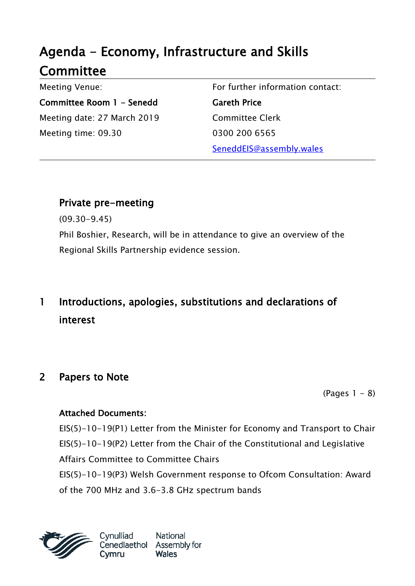# Agenda - Economy, Infrastructure and Skills **Committee**

Meeting Venue: Committee Room 1 - Senedd Meeting date: 27 March 2019 Meeting time: 09.30

For further information contact: Gareth Price Committee Clerk 0300 200 6565 SeneddEIS@assembly.wales

### Private pre-meeting

(09.30-9.45)

Phil Boshier, Research, will be in attendance to give an overview of the Regional Skills Partnership evidence session.

# 1 Introductions, apologies, substitutions and declarations of interest

### 2 Papers to Note

 $(Paqes 1 - 8)$ 

#### Attached Documents:

EIS(5)-10-19(P1) Letter from the Minister for Economy and Transport to Chair EIS(5)-10-19(P2) Letter from the Chair of the Constitutional and Legislative Affairs Committee to Committee Chairs EIS(5)-10-19(P3) Welsh Government response to Ofcom Consultation: Award of the 700 MHz and 3.6-3.8 GHz spectrum bands



Cynulliad Cvmru

National Cenedlaethol Assembly for **Wales**